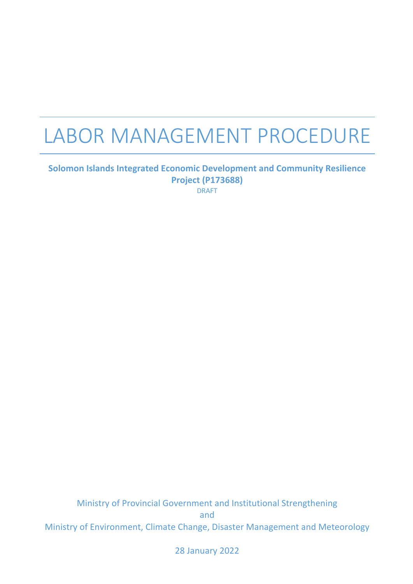# LABOR MANAGEMENT PROCEDURE

#### **Solomon Islands Integrated Economic Development and Community Resilience Project (P173688)** DRAFT

Ministry of Provincial Government and Institutional Strengthening and Ministry of Environment, Climate Change, Disaster Management and Meteorology

28 January 2022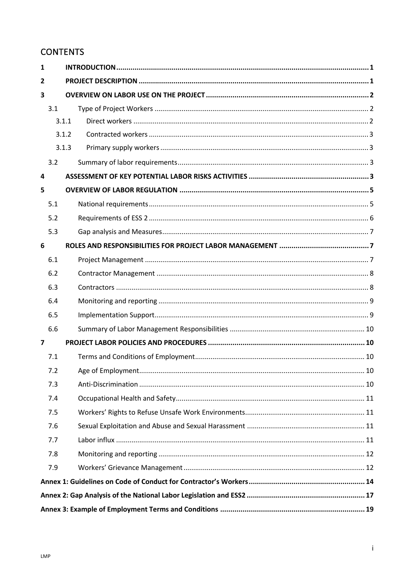# **CONTENTS**

| 1              |     |       |
|----------------|-----|-------|
| $\overline{2}$ |     |       |
| 3              |     |       |
|                | 3.1 |       |
|                |     | 3.1.1 |
|                |     | 3.1.2 |
|                |     | 3.1.3 |
|                | 3.2 |       |
| 4              |     |       |
| 5              |     |       |
|                | 5.1 |       |
|                | 5.2 |       |
|                | 5.3 |       |
| 6              |     |       |
|                | 6.1 |       |
|                | 6.2 |       |
|                | 6.3 |       |
|                | 6.4 |       |
|                | 6.5 |       |
|                | 6.6 |       |
| $\overline{ }$ |     |       |
|                | 7.1 |       |
|                | 7.2 |       |
|                | 7.3 |       |
|                | 7.4 |       |
|                | 7.5 |       |
|                | 7.6 |       |
|                | 7.7 |       |
|                | 7.8 |       |
|                | 7.9 |       |
|                |     |       |
|                |     |       |
|                |     |       |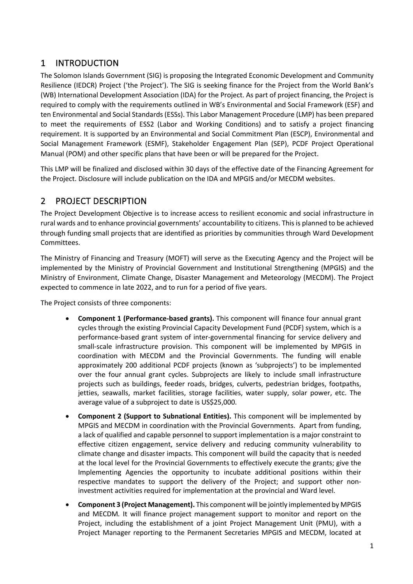## 1 INTRODUCTION

The Solomon Islands Government (SIG) is proposing the Integrated Economic Development and Community Resilience (IEDCR) Project ('the Project'). The SIG is seeking finance for the Project from the World Bank's (WB) International Development Association (IDA) for the Project. As part of project financing, the Project is required to comply with the requirements outlined in WB's Environmental and Social Framework (ESF) and ten Environmental and Social Standards (ESSs). This Labor Management Procedure (LMP) has been prepared to meet the requirements of ESS2 (Labor and Working Conditions) and to satisfy a project financing requirement. It is supported by an Environmental and Social Commitment Plan (ESCP), Environmental and Social Management Framework (ESMF), Stakeholder Engagement Plan (SEP), PCDF Project Operational Manual (POM) and other specific plans that have been or will be prepared for the Project.

This LMP will be finalized and disclosed within 30 days of the effective date of the Financing Agreement for the Project. Disclosure will include publication on the IDA and MPGIS and/or MECDM websites.

## 2 PROJECT DESCRIPTION

The Project Development Objective is to increase access to resilient economic and social infrastructure in rural wards and to enhance provincial governments' accountability to citizens. This is planned to be achieved through funding small projects that are identified as priorities by communities through Ward Development Committees.

The Ministry of Financing and Treasury (MOFT) will serve as the Executing Agency and the Project will be implemented by the Ministry of Provincial Government and Institutional Strengthening (MPGIS) and the Ministry of Environment, Climate Change, Disaster Management and Meteorology (MECDM). The Project expected to commence in late 2022, and to run for a period of five years.

The Project consists of three components:

- **Component 1 (Performance-based grants).** This component will finance four annual grant cycles through the existing Provincial Capacity Development Fund (PCDF) system, which is a performance-based grant system of inter-governmental financing for service delivery and small-scale infrastructure provision. This component will be implemented by MPGIS in coordination with MECDM and the Provincial Governments. The funding will enable approximately 200 additional PCDF projects (known as 'subprojects') to be implemented over the four annual grant cycles. Subprojects are likely to include small infrastructure projects such as buildings, feeder roads, bridges, culverts, pedestrian bridges, footpaths, jetties, seawalls, market facilities, storage facilities, water supply, solar power, etc. The average value of a subproject to date is US\$25,000.
- **Component 2 (Support to Subnational Entities).** This component will be implemented by MPGIS and MECDM in coordination with the Provincial Governments. Apart from funding, a lack of qualified and capable personnel to support implementation is a major constraint to effective citizen engagement, service delivery and reducing community vulnerability to climate change and disaster impacts. This component will build the capacity that is needed at the local level for the Provincial Governments to effectively execute the grants; give the Implementing Agencies the opportunity to incubate additional positions within their respective mandates to support the delivery of the Project; and support other noninvestment activities required for implementation at the provincial and Ward level.
- **Component 3 (Project Management).** This component will be jointly implemented by MPGIS and MECDM*.* It will finance project management support to monitor and report on the Project, including the establishment of a joint Project Management Unit (PMU), with a Project Manager reporting to the Permanent Secretaries MPGIS and MECDM, located at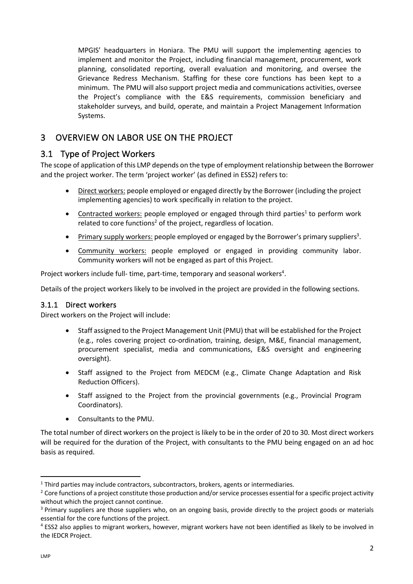MPGIS' headquarters in Honiara. The PMU will support the implementing agencies to implement and monitor the Project, including financial management, procurement, work planning, consolidated reporting, overall evaluation and monitoring, and oversee the Grievance Redress Mechanism. Staffing for these core functions has been kept to a minimum. The PMU will also support project media and communications activities, oversee the Project's compliance with the E&S requirements, commission beneficiary and stakeholder surveys, and build, operate, and maintain a Project Management Information Systems.

## 3 OVERVIEW ON LABOR USE ON THE PROJECT

## 3.1 Type of Project Workers

The scope of application of this LMP depends on the type of employment relationship between the Borrower and the project worker. The term 'project worker' (as defined in ESS2) refers to:

- Direct workers: people employed or engaged directly by the Borrower (including the project implementing agencies) to work specifically in relation to the project.
- Contracted workers: people employed or engaged through third parties<sup>1</sup> to perform work related to core functions<sup>2</sup> of the project, regardless of location.
- Primary supply workers: people employed or engaged by the Borrower's primary suppliers<sup>3</sup>.
- Community workers: people employed or engaged in providing community labor. Community workers will not be engaged as part of this Project.

Project workers include full- time, part-time, temporary and seasonal workers<sup>4</sup>.

Details of the project workers likely to be involved in the project are provided in the following sections.

#### 3.1.1 Direct workers

Direct workers on the Project will include:

- Staff assigned to the Project Management Unit (PMU) that will be established for the Project (e.g., roles covering project co-ordination, training, design, M&E, financial management, procurement specialist, media and communications, E&S oversight and engineering oversight).
- Staff assigned to the Project from MEDCM (e.g., Climate Change Adaptation and Risk Reduction Officers).
- Staff assigned to the Project from the provincial governments (e.g., Provincial Program Coordinators).
- Consultants to the PMU.

The total number of direct workers on the project is likely to be in the order of 20 to 30. Most direct workers will be required for the duration of the Project, with consultants to the PMU being engaged on an ad hoc basis as required.

 $1$  Third parties may include contractors, subcontractors, brokers, agents or intermediaries.

<sup>&</sup>lt;sup>2</sup> Core functions of a project constitute those production and/or service processes essential for a specific project activity without which the project cannot continue.

<sup>&</sup>lt;sup>3</sup> Primary suppliers are those suppliers who, on an ongoing basis, provide directly to the project goods or materials essential for the core functions of the project.

<sup>4</sup> ESS2 also applies to migrant workers, however, migrant workers have not been identified as likely to be involved in the IEDCR Project.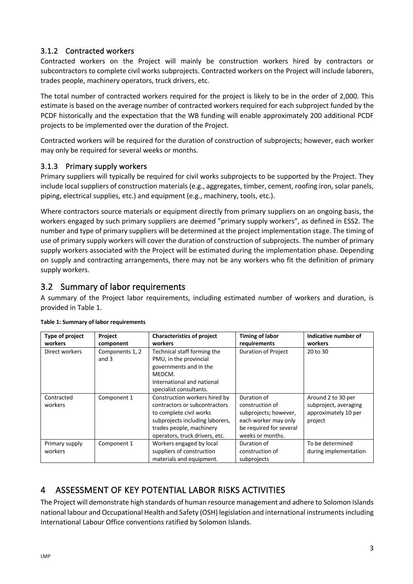#### 3.1.2 Contracted workers

Contracted workers on the Project will mainly be construction workers hired by contractors or subcontractors to complete civil works subprojects. Contracted workers on the Project will include laborers, trades people, machinery operators, truck drivers, etc.

The total number of contracted workers required for the project is likely to be in the order of 2,000. This estimate is based on the average number of contracted workers required for each subproject funded by the PCDF historically and the expectation that the WB funding will enable approximately 200 additional PCDF projects to be implemented over the duration of the Project.

Contracted workers will be required for the duration of construction of subprojects; however, each worker may only be required for several weeks or months.

#### 3.1.3 Primary supply workers

Primary suppliers will typically be required for civil works subprojects to be supported by the Project. They include local suppliers of construction materials (e.g., aggregates, timber, cement, roofing iron, solar panels, piping, electrical supplies, etc.) and equipment (e.g., machinery, tools, etc.).

Where contractors source materials or equipment directly from primary suppliers on an ongoing basis, the workers engaged by such primary suppliers are deemed "primary supply workers", as defined in ESS2. The number and type of primary suppliers will be determined at the project implementation stage. The timing of use of primary supply workers will cover the duration of construction of subprojects. The number of primary supply workers associated with the Project will be estimated during the implementation phase. Depending on supply and contracting arrangements, there may not be any workers who fit the definition of primary supply workers.

### 3.2 Summary of labor requirements

A summary of the Project labor requirements, including estimated number of workers and duration, is provided in Table 1.

| Type of project<br>workers | <b>Project</b><br>component | <b>Characteristics of project</b><br>workers                                                                                                                                               | <b>Timing of labor</b><br>requirements                                                                                         | Indicative number of<br>workers                                                |  |  |
|----------------------------|-----------------------------|--------------------------------------------------------------------------------------------------------------------------------------------------------------------------------------------|--------------------------------------------------------------------------------------------------------------------------------|--------------------------------------------------------------------------------|--|--|
| Direct workers             | Components 1, 2<br>and $3$  | Technical staff forming the<br>PMU, in the provincial<br>governments and in the<br>MEDCM.<br>International and national<br>specialist consultants.                                         | <b>Duration of Project</b>                                                                                                     | 20 to 30                                                                       |  |  |
| Contracted<br>workers      | Component 1                 | Construction workers hired by<br>contractors or subcontractors<br>to complete civil works<br>subprojects including laborers,<br>trades people, machinery<br>operators, truck drivers, etc. | Duration of<br>construction of<br>subprojects; however,<br>each worker may only<br>be required for several<br>weeks or months. | Around 2 to 30 per<br>subproject, averaging<br>approximately 10 per<br>project |  |  |
| Primary supply<br>workers  | Component 1                 | Workers engaged by local<br>suppliers of construction<br>materials and equipment.                                                                                                          | Duration of<br>construction of<br>subprojects                                                                                  | To be determined<br>during implementation                                      |  |  |

#### **Table 1: Summary of labor requirements**

# 4 ASSESSMENT OF KEY POTENTIAL LABOR RISKS ACTIVITIES

The Project will demonstrate high standards of human resource management and adhere to Solomon Islands national labour and Occupational Health and Safety (OSH) legislation and international instruments including International Labour Office conventions ratified by Solomon Islands.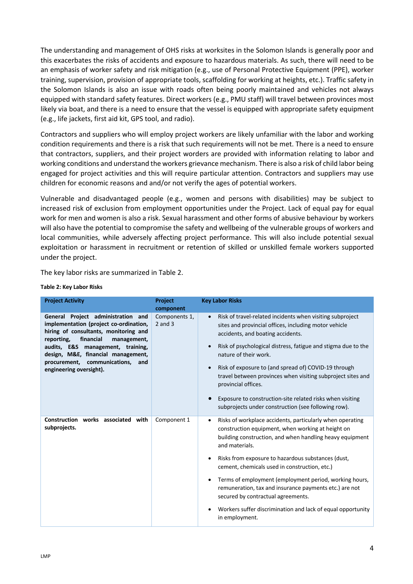The understanding and management of OHS risks at worksites in the Solomon Islands is generally poor and this exacerbates the risks of accidents and exposure to hazardous materials. As such, there will need to be an emphasis of worker safety and risk mitigation (e.g., use of Personal Protective Equipment (PPE), worker training, supervision, provision of appropriate tools, scaffolding for working at heights, etc.). Traffic safety in the Solomon Islands is also an issue with roads often being poorly maintained and vehicles not always equipped with standard safety features. Direct workers (e.g., PMU staff) will travel between provinces most likely via boat, and there is a need to ensure that the vessel is equipped with appropriate safety equipment (e.g., life jackets, first aid kit, GPS tool, and radio).

Contractors and suppliers who will employ project workers are likely unfamiliar with the labor and working condition requirements and there is a risk that such requirements will not be met. There is a need to ensure that contractors, suppliers, and their project worders are provided with information relating to labor and working conditions and understand the workers grievance mechanism. There is also a risk of child labor being engaged for project activities and this will require particular attention. Contractors and suppliers may use children for economic reasons and and/or not verify the ages of potential workers.

Vulnerable and disadvantaged people (e.g., women and persons with disabilities) may be subject to increased risk of exclusion from employment opportunities under the Project. Lack of equal pay for equal work for men and women is also a risk. Sexual harassment and other forms of abusive behaviour by workers will also have the potential to compromise the safety and wellbeing of the vulnerable groups of workers and local communities, while adversely affecting project performance. This will also include potential sexual exploitation or harassment in recruitment or retention of skilled or unskilled female workers supported under the project.

The key labor risks are summarized in Table 2.

| <b>Project Activity</b>                                                                                                                                                                                                                                                                                         | <b>Project</b><br>component  | <b>Key Labor Risks</b>                                                                                                                                                                                                                                                                                                                                                                                                                                                                                                                              |
|-----------------------------------------------------------------------------------------------------------------------------------------------------------------------------------------------------------------------------------------------------------------------------------------------------------------|------------------------------|-----------------------------------------------------------------------------------------------------------------------------------------------------------------------------------------------------------------------------------------------------------------------------------------------------------------------------------------------------------------------------------------------------------------------------------------------------------------------------------------------------------------------------------------------------|
| General Project administration and<br>implementation (project co-ordination,<br>hiring of consultants, monitoring and<br>reporting,<br>financial<br>management,<br>audits, E&S management, training,<br>design, M&E, financial management,<br>communications,<br>procurement,<br>and<br>engineering oversight). | Components 1,<br>$2$ and $3$ | Risk of travel-related incidents when visiting subproject<br>sites and provincial offices, including motor vehicle<br>accidents, and boating accidents.<br>Risk of psychological distress, fatigue and stigma due to the<br>nature of their work.<br>Risk of exposure to (and spread of) COVID-19 through<br>travel between provinces when visiting subproject sites and<br>provincial offices.<br>Exposure to construction-site related risks when visiting<br>subprojects under construction (see following row).                                 |
| Construction works associated<br>with<br>subprojects.                                                                                                                                                                                                                                                           | Component 1                  | Risks of workplace accidents, particularly when operating<br>٠<br>construction equipment, when working at height on<br>building construction, and when handling heavy equipment<br>and materials.<br>Risks from exposure to hazardous substances (dust,<br>cement, chemicals used in construction, etc.)<br>Terms of employment (employment period, working hours,<br>remuneration, tax and insurance payments etc.) are not<br>secured by contractual agreements.<br>Workers suffer discrimination and lack of equal opportunity<br>in employment. |

#### **Table 2: Key Labor Risks**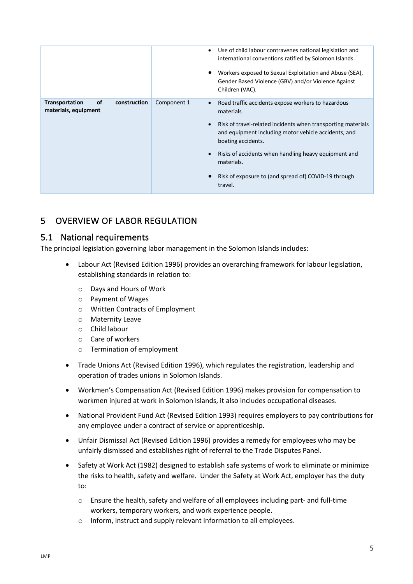|                                                                            |             | Use of child labour contravenes national legislation and<br>international conventions ratified by Solomon Islands.<br>Workers exposed to Sexual Exploitation and Abuse (SEA),<br>Gender Based Violence (GBV) and/or Violence Against<br>Children (VAC). |
|----------------------------------------------------------------------------|-------------|---------------------------------------------------------------------------------------------------------------------------------------------------------------------------------------------------------------------------------------------------------|
| <b>Transportation</b><br><b>of</b><br>construction<br>materials, equipment | Component 1 | Road traffic accidents expose workers to hazardous<br>materials<br>Risk of travel-related incidents when transporting materials<br>and equipment including motor vehicle accidents, and                                                                 |
|                                                                            |             | boating accidents.<br>Risks of accidents when handling heavy equipment and<br>materials.                                                                                                                                                                |
|                                                                            |             | Risk of exposure to (and spread of) COVID-19 through<br>travel.                                                                                                                                                                                         |

## 5 OVERVIEW OF LABOR REGULATION

#### 5.1 National requirements

The principal legislation governing labor management in the Solomon Islands includes:

- Labour Act (Revised Edition 1996) provides an overarching framework for labour legislation, establishing standards in relation to:
	- o Days and Hours of Work
	- o Payment of Wages
	- o Written Contracts of Employment
	- o Maternity Leave
	- o Child labour
	- o Care of workers
	- o Termination of employment
- Trade Unions Act (Revised Edition 1996), which regulates the registration, leadership and operation of trades unions in Solomon Islands.
- Workmen's Compensation Act (Revised Edition 1996) makes provision for compensation to workmen injured at work in Solomon Islands, it also includes occupational diseases.
- National Provident Fund Act (Revised Edition 1993) requires employers to pay contributions for any employee under a contract of service or apprenticeship.
- Unfair Dismissal Act (Revised Edition 1996) provides a remedy for employees who may be unfairly dismissed and establishes right of referral to the Trade Disputes Panel.
- Safety at Work Act (1982) designed to establish safe systems of work to eliminate or minimize the risks to health, safety and welfare. Under the Safety at Work Act, employer has the duty to:
	- o Ensure the health, safety and welfare of all employees including part- and full-time workers, temporary workers, and work experience people.
	- o Inform, instruct and supply relevant information to all employees.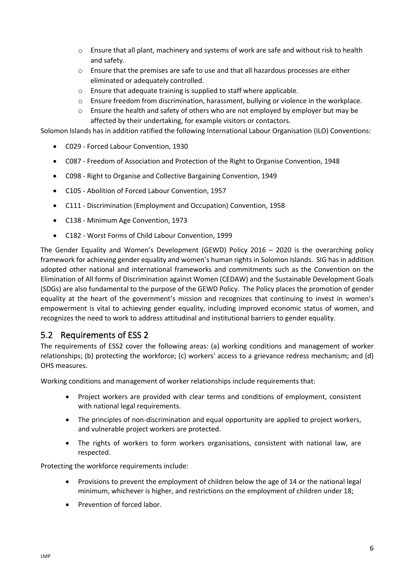- $\circ$  Ensure that all plant, machinery and systems of work are safe and without risk to health and safety.
- o Ensure that the premises are safe to use and that all hazardous processes are either eliminated or adequately controlled.
- o Ensure that adequate training is supplied to staff where applicable.
- o Ensure freedom from discrimination, harassment, bullying or violence in the workplace.
- $\circ$  Ensure the health and safety of others who are not employed by employer but may be affected by their undertaking, for example visitors or contactors.

Solomon Islands has in addition ratified the following International Labour Organisation (ILO) Conventions:

- C029 Forced Labour Convention, 1930
- C087 Freedom of Association and Protection of the Right to Organise Convention, 1948
- C098 Right to Organise and Collective Bargaining Convention, 1949
- C105 Abolition of Forced Labour Convention, 1957
- C111 Discrimination (Employment and Occupation) Convention, 1958
- C138 Minimum Age Convention, 1973
- C182 Worst Forms of Child Labour Convention, 1999

The Gender Equality and Women's Development (GEWD) Policy 2016 – 2020 is the overarching policy framework for achieving gender equality and women's human rights in Solomon Islands. SIG has in addition adopted other national and international frameworks and commitments such as the Convention on the Elimination of All forms of Discrimination against Women (CEDAW) and the Sustainable Development Goals (SDGs) are also fundamental to the purpose of the GEWD Policy. The Policy places the promotion of gender equality at the heart of the government's mission and recognizes that continuing to invest in women's empowerment is vital to achieving gender equality, including improved economic status of women, and recognizes the need to work to address attitudinal and institutional barriers to gender equality.

#### 5.2 Requirements of ESS 2

The requirements of ESS2 cover the following areas: (a) working conditions and management of worker relationships; (b) protecting the workforce; (c) workers' access to a grievance redress mechanism; and (d) OHS measures.

Working conditions and management of worker relationships include requirements that:

- Project workers are provided with clear terms and conditions of employment, consistent with national legal requirements.
- The principles of non-discrimination and equal opportunity are applied to project workers, and vulnerable project workers are protected.
- The rights of workers to form workers organisations, consistent with national law, are respected.

Protecting the workforce requirements include:

- Provisions to prevent the employment of children below the age of 14 or the national legal minimum, whichever is higher, and restrictions on the employment of children under 18;
- Prevention of forced labor.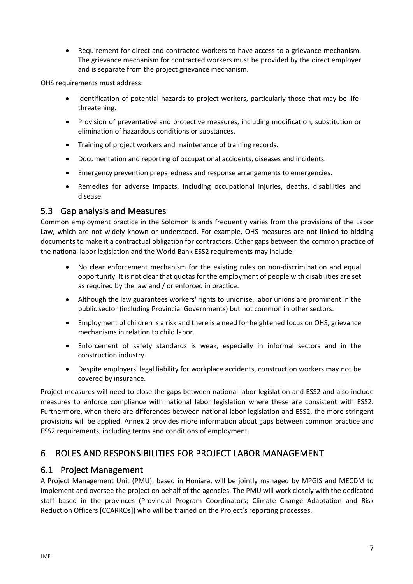• Requirement for direct and contracted workers to have access to a grievance mechanism. The grievance mechanism for contracted workers must be provided by the direct employer and is separate from the project grievance mechanism.

OHS requirements must address:

- Identification of potential hazards to project workers, particularly those that may be lifethreatening.
- Provision of preventative and protective measures, including modification, substitution or elimination of hazardous conditions or substances.
- Training of project workers and maintenance of training records.
- Documentation and reporting of occupational accidents, diseases and incidents.
- Emergency prevention preparedness and response arrangements to emergencies.
- Remedies for adverse impacts, including occupational injuries, deaths, disabilities and disease.

#### 5.3 Gap analysis and Measures

Common employment practice in the Solomon Islands frequently varies from the provisions of the Labor Law, which are not widely known or understood. For example, OHS measures are not linked to bidding documents to make it a contractual obligation for contractors. Other gaps between the common practice of the national labor legislation and the World Bank ESS2 requirements may include:

- No clear enforcement mechanism for the existing rules on non-discrimination and equal opportunity. It is not clear that quotas for the employment of people with disabilities are set as required by the law and / or enforced in practice.
- Although the law guarantees workers' rights to unionise, labor unions are prominent in the public sector (including Provincial Governments) but not common in other sectors.
- Employment of children is a risk and there is a need for heightened focus on OHS, grievance mechanisms in relation to child labor.
- Enforcement of safety standards is weak, especially in informal sectors and in the construction industry.
- Despite employers' legal liability for workplace accidents, construction workers may not be covered by insurance.

Project measures will need to close the gaps between national labor legislation and ESS2 and also include measures to enforce compliance with national labor legislation where these are consistent with ESS2. Furthermore, when there are differences between national labor legislation and ESS2, the more stringent provisions will be applied. Annex 2 provides more information about gaps between common practice and ESS2 requirements, including terms and conditions of employment.

## 6 ROLES AND RESPONSIBILITIES FOR PROJECT LABOR MANAGEMENT

#### 6.1 Project Management

A Project Management Unit (PMU), based in Honiara, will be jointly managed by MPGIS and MECDM to implement and oversee the project on behalf of the agencies. The PMU will work closely with the dedicated staff based in the provinces (Provincial Program Coordinators; Climate Change Adaptation and Risk Reduction Officers [CCARROs]) who will be trained on the Project's reporting processes.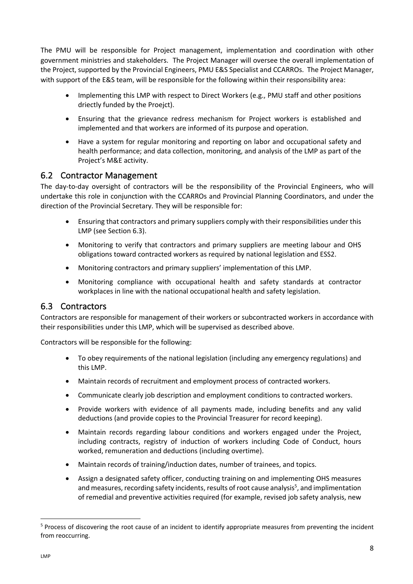The PMU will be responsible for Project management, implementation and coordination with other government ministries and stakeholders. The Project Manager will oversee the overall implementation of the Project, supported by the Provincial Engineers, PMU E&S Specialist and CCARROs. The Project Manager, with support of the E&S team, will be responsible for the following within their responsibility area:

- Implementing this LMP with respect to Direct Workers (e.g., PMU staff and other positions driectly funded by the Proejct).
- Ensuring that the grievance redress mechanism for Project workers is established and implemented and that workers are informed of its purpose and operation.
- Have a system for regular monitoring and reporting on labor and occupational safety and health performance; and data collection, monitoring, and analysis of the LMP as part of the Project's M&E activity.

#### 6.2 Contractor Management

The day-to-day oversight of contractors will be the responsibility of the Provincial Engineers, who will undertake this role in conjunction with the CCARROs and Provincial Planning Coordinators, and under the direction of the Provincial Secretary. They will be responsible for:

- Ensuring that contractors and primary suppliers comply with their responsibilities under this LMP (see Section 6.3).
- Monitoring to verify that contractors and primary suppliers are meeting labour and OHS obligations toward contracted workers as required by national legislation and ESS2.
- Monitoring contractors and primary suppliers' implementation of this LMP.
- Monitoring compliance with occupational health and safety standards at contractor workplaces in line with the national occupational health and safety legislation.

#### 6.3 Contractors

Contractors are responsible for management of their workers or subcontracted workers in accordance with their responsibilities under this LMP, which will be supervised as described above.

Contractors will be responsible for the following:

- To obey requirements of the national legislation (including any emergency regulations) and this LMP.
- Maintain records of recruitment and employment process of contracted workers.
- Communicate clearly job description and employment conditions to contracted workers.
- Provide workers with evidence of all payments made, including benefits and any valid deductions (and provide copies to the Provincial Treasurer for record keeping).
- Maintain records regarding labour conditions and workers engaged under the Project, including contracts, registry of induction of workers including Code of Conduct, hours worked, remuneration and deductions (including overtime).
- Maintain records of training/induction dates, number of trainees, and topics.
- Assign a designated safety officer, conducting training on and implementing OHS measures and measures, recording safety incidents, results of root cause analysis<sup>5</sup>, and implimentation of remedial and preventive activities required (for example, revised job safety analysis, new

<sup>&</sup>lt;sup>5</sup> Process of discovering the root cause of an incident to identify appropriate measures from preventing the incident from reoccurring.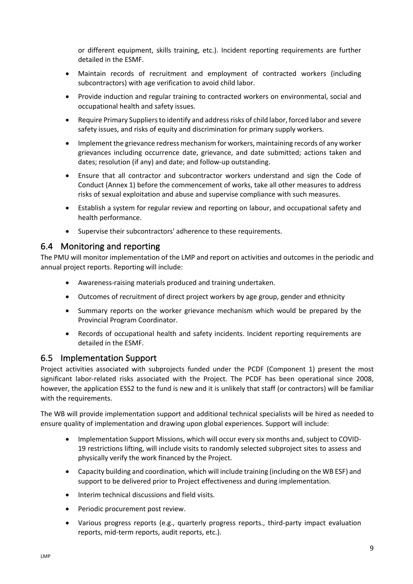or different equipment, skills training, etc.). Incident reporting requirements are further detailed in the ESMF.

- Maintain records of recruitment and employment of contracted workers (including subcontractors) with age verification to avoid child labor.
- Provide induction and regular training to contracted workers on environmental, social and occupational health and safety issues.
- Require Primary Suppliersto identify and address risks of child labor, forced labor and severe safety issues, and risks of equity and discrimination for primary supply workers.
- Implement the grievance redress mechanism for workers, maintaining records of any worker grievances including occurrence date, grievance, and date submitted; actions taken and dates; resolution (if any) and date; and follow-up outstanding.
- Ensure that all contractor and subcontractor workers understand and sign the Code of Conduct (Annex 1) before the commencement of works, take all other measures to address risks of sexual exploitation and abuse and supervise compliance with such measures.
- Establish a system for regular review and reporting on labour, and occupational safety and health performance.
- Supervise their subcontractors' adherence to these requirements.

#### 6.4 Monitoring and reporting

The PMU will monitor implementation of the LMP and report on activities and outcomes in the periodic and annual project reports. Reporting will include:

- Awareness-raising materials produced and training undertaken.
- Outcomes of recruitment of direct project workers by age group, gender and ethnicity
- Summary reports on the worker grievance mechanism which would be prepared by the Provincial Program Coordinator.
- Records of occupational health and safety incidents. Incident reporting requirements are detailed in the ESMF.

#### 6.5 Implementation Support

Project activities associated with subprojects funded under the PCDF (Component 1) present the most significant labor-related risks associated with the Project. The PCDF has been operational since 2008, however, the application ESS2 to the fund is new and it is unlikely that staff (or contractors) will be familiar with the requirements.

The WB will provide implementation support and additional technical specialists will be hired as needed to ensure quality of implementation and drawing upon global experiences. Support will include:

- Implementation Support Missions, which will occur every six months and, subject to COVID-19 restrictions lifting, will include visits to randomly selected subproject sites to assess and physically verify the work financed by the Project.
- Capacity building and coordination, which will include training (including on the WB ESF) and support to be delivered prior to Project effectiveness and during implementation.
- Interim technical discussions and field visits.
- Periodic procurement post review.
- Various progress reports (e.g., quarterly progress reports., third-party impact evaluation reports, mid-term reports, audit reports, etc.).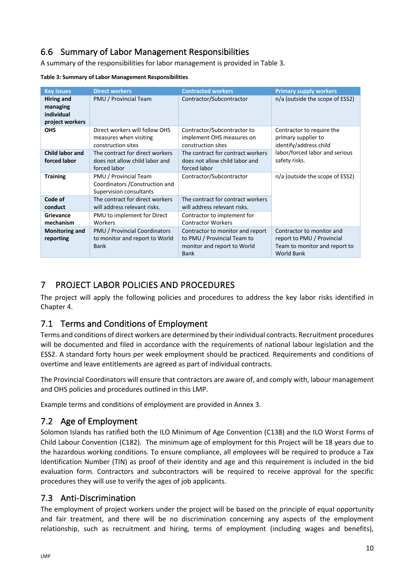## 6.6 Summary of Labor Management Responsibilities

A summary of the responsibilities for labor management is provided in Table 3.

**Table 3: Summary of Labor Management Responsibilities**

| <b>Key issues</b>                                                                            | <b>Direct workers</b>                                                               | <b>Contracted workers</b>                                                                                     | <b>Primary supply workers</b>                                                                                 |  |  |  |  |
|----------------------------------------------------------------------------------------------|-------------------------------------------------------------------------------------|---------------------------------------------------------------------------------------------------------------|---------------------------------------------------------------------------------------------------------------|--|--|--|--|
| Hiring and<br>managing<br>individual<br>project workers                                      | PMU / Provincial Team                                                               | Contractor/Subcontractor                                                                                      | n/a (outside the scope of ESS2)                                                                               |  |  |  |  |
| Direct workers will follow OHS<br><b>OHS</b><br>measures when visiting<br>construction sites |                                                                                     | Contractor/Subcontractor to<br>implement OHS measures on<br>construction sites                                | Contractor to require the<br>primary supplier to<br>identify/address child                                    |  |  |  |  |
| <b>Child labor and</b><br>forced labor                                                       | The contract for direct workers<br>does not allow child labor and<br>forced labor   | The contract for contract workers<br>does not allow child labor and<br>forced labor                           | labor/forced labor and serious<br>safety risks.                                                               |  |  |  |  |
| <b>Training</b>                                                                              | PMU / Provincial Team<br>Coordinators / Construction and<br>Supervision consultants | Contractor/Subcontractor                                                                                      | n/a (outside the scope of ESS2)                                                                               |  |  |  |  |
| Code of<br>conduct                                                                           | The contract for direct workers<br>will address relevant risks.                     | The contract for contract workers<br>will address relevant risks.                                             |                                                                                                               |  |  |  |  |
| Grievance<br>mechanism                                                                       | PMU to implement for Direct<br>Workers                                              | Contractor to implement for<br><b>Contractor Workers</b>                                                      |                                                                                                               |  |  |  |  |
| Monitoring and<br>reporting                                                                  | PMU / Provincial Coordinators<br>to monitor and report to World<br><b>Bank</b>      | Contractor to monitor and report<br>to PMU / Provincial Team to<br>monitor and report to World<br><b>Bank</b> | Contractor to monitor and<br>report to PMU / Provincial<br>Team to monitor and report to<br><b>World Bank</b> |  |  |  |  |

## 7 PROJECT LABOR POLICIES AND PROCEDURES

The project will apply the following policies and procedures to address the key labor risks identified in Chapter 4.

## 7.1 Terms and Conditions of Employment

Terms and conditions of direct workers are determined by their individual contracts. Recruitment procedures will be documented and filed in accordance with the requirements of national labour legislation and the ESS2. A standard forty hours per week employment should be practiced. Requirements and conditions of overtime and leave entitlements are agreed as part of individual contracts.

The Provincial Coordinators will ensure that contractors are aware of, and comply with, labour management and OHS policies and procedures outlined in this LMP.

Example terms and conditions of employment are provided in Annex 3.

## 7.2 Age of Employment

Solomon Islands has ratified both the ILO Minimum of Age Convention (C138) and the ILO Worst Forms of Child Labour Convention (C182). The minimum age of employment for this Project will be 18 years due to the hazardous working conditions. To ensure compliance, all employees will be required to produce a Tax Identification Number (TIN) as proof of their identity and age and this requirement is included in the bid evaluation form. Contractors and subcontractors will be required to receive approval for the specific procedures they will use to verify the ages of job applicants.

## 7.3 Anti-Discrimination

The employment of project workers under the project will be based on the principle of equal opportunity and fair treatment, and there will be no discrimination concerning any aspects of the employment relationship, such as recruitment and hiring, terms of employment (including wages and benefits),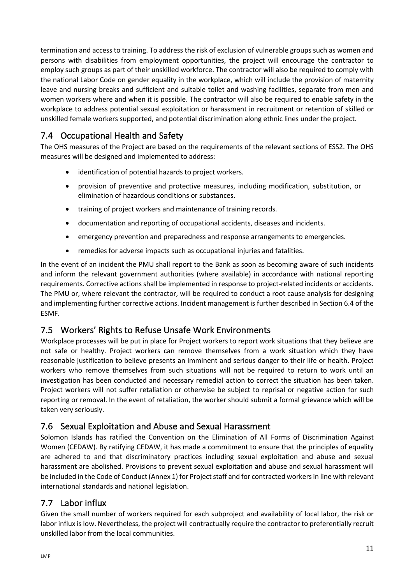termination and access to training. To address the risk of exclusion of vulnerable groups such as women and persons with disabilities from employment opportunities, the project will encourage the contractor to employ such groups as part of their unskilled workforce. The contractor will also be required to comply with the national Labor Code on gender equality in the workplace, which will include the provision of maternity leave and nursing breaks and sufficient and suitable toilet and washing facilities, separate from men and women workers where and when it is possible. The contractor will also be required to enable safety in the workplace to address potential sexual exploitation or harassment in recruitment or retention of skilled or unskilled female workers supported, and potential discrimination along ethnic lines under the project.

# 7.4 Occupational Health and Safety

The OHS measures of the Project are based on the requirements of the relevant sections of ESS2. The OHS measures will be designed and implemented to address:

- identification of potential hazards to project workers.
- provision of preventive and protective measures, including modification, substitution, or elimination of hazardous conditions or substances.
- training of project workers and maintenance of training records.
- documentation and reporting of occupational accidents, diseases and incidents.
- emergency prevention and preparedness and response arrangements to emergencies.
- remedies for adverse impacts such as occupational injuries and fatalities.

In the event of an incident the PMU shall report to the Bank as soon as becoming aware of such incidents and inform the relevant government authorities (where available) in accordance with national reporting requirements. Corrective actions shall be implemented in response to project-related incidents or accidents. The PMU or, where relevant the contractor, will be required to conduct a root cause analysis for designing and implementing further corrective actions. Incident management is further described in Section 6.4 of the ESMF.

## 7.5 Workers' Rights to Refuse Unsafe Work Environments

Workplace processes will be put in place for Project workers to report work situations that they believe are not safe or healthy. Project workers can remove themselves from a work situation which they have reasonable justification to believe presents an imminent and serious danger to their life or health. Project workers who remove themselves from such situations will not be required to return to work until an investigation has been conducted and necessary remedial action to correct the situation has been taken. Project workers will not suffer retaliation or otherwise be subject to reprisal or negative action for such reporting or removal. In the event of retaliation, the worker should submit a formal grievance which will be taken very seriously.

## 7.6 Sexual Exploitation and Abuse and Sexual Harassment

Solomon Islands has ratified the Convention on the Elimination of All Forms of Discrimination Against Women (CEDAW). By ratifying CEDAW, it has made a commitment to ensure that the principles of equality are adhered to and that discriminatory practices including sexual exploitation and abuse and sexual harassment are abolished. Provisions to prevent sexual exploitation and abuse and sexual harassment will be included in the Code of Conduct (Annex 1) for Project staff and for contracted workers in line with relevant international standards and national legislation.

## 7.7 Labor influx

Given the small number of workers required for each subproject and availability of local labor, the risk or labor influx is low. Nevertheless, the project will contractually require the contractor to preferentially recruit unskilled labor from the local communities.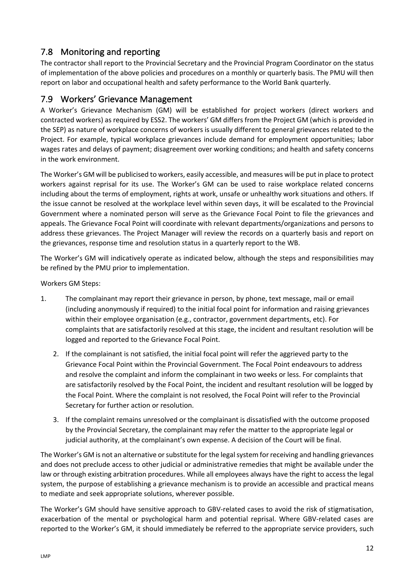## 7.8 Monitoring and reporting

The contractor shall report to the Provincial Secretary and the Provincial Program Coordinator on the status of implementation of the above policies and procedures on a monthly or quarterly basis. The PMU will then report on labor and occupational health and safety performance to the World Bank quarterly.

### 7.9 Workers' Grievance Management

A Worker's Grievance Mechanism (GM) will be established for project workers (direct workers and contracted workers) as required by ESS2. The workers' GM differs from the Project GM (which is provided in the SEP) as nature of workplace concerns of workers is usually different to general grievances related to the Project. For example, typical workplace grievances include demand for employment opportunities; labor wages rates and delays of payment; disagreement over working conditions; and health and safety concerns in the work environment.

The Worker's GM will be publicised to workers, easily accessible, and measures will be put in place to protect workers against reprisal for its use. The Worker's GM can be used to raise workplace related concerns including about the terms of employment, rights at work, unsafe or unhealthy work situations and others. If the issue cannot be resolved at the workplace level within seven days, it will be escalated to the Provincial Government where a nominated person will serve as the Grievance Focal Point to file the grievances and appeals. The Grievance Focal Point will coordinate with relevant departments/organizations and persons to address these grievances. The Project Manager will review the records on a quarterly basis and report on the grievances, response time and resolution status in a quarterly report to the WB.

The Worker's GM will indicatively operate as indicated below, although the steps and responsibilities may be refined by the PMU prior to implementation.

Workers GM Steps:

- 1. The complainant may report their grievance in person, by phone, text message, mail or email (including anonymously if required) to the initial focal point for information and raising grievances within their employee organisation (e.g., contractor, government departments, etc). For complaints that are satisfactorily resolved at this stage, the incident and resultant resolution will be logged and reported to the Grievance Focal Point.
	- 2. If the complainant is not satisfied, the initial focal point will refer the aggrieved party to the Grievance Focal Point within the Provincial Government. The Focal Point endeavours to address and resolve the complaint and inform the complainant in two weeks or less. For complaints that are satisfactorily resolved by the Focal Point, the incident and resultant resolution will be logged by the Focal Point. Where the complaint is not resolved, the Focal Point will refer to the Provincial Secretary for further action or resolution.
	- 3. If the complaint remains unresolved or the complainant is dissatisfied with the outcome proposed by the Provincial Secretary, the complainant may refer the matter to the appropriate legal or judicial authority, at the complainant's own expense. A decision of the Court will be final.

The Worker's GM is not an alternative or substitute for the legal system for receiving and handling grievances and does not preclude access to other judicial or administrative remedies that might be available under the law or through existing arbitration procedures. While all employees always have the right to access the legal system, the purpose of establishing a grievance mechanism is to provide an accessible and practical means to mediate and seek appropriate solutions, wherever possible.

The Worker's GM should have sensitive approach to GBV-related cases to avoid the risk of stigmatisation, exacerbation of the mental or psychological harm and potential reprisal. Where GBV-related cases are reported to the Worker's GM, it should immediately be referred to the appropriate service providers, such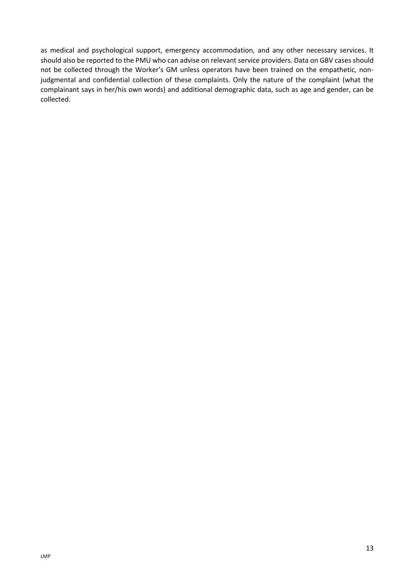as medical and psychological support, emergency accommodation, and any other necessary services. It should also be reported to the PMU who can advise on relevant service providers. Data on GBV cases should not be collected through the Worker's GM unless operators have been trained on the empathetic, nonjudgmental and confidential collection of these complaints. Only the nature of the complaint (what the complainant says in her/his own words) and additional demographic data, such as age and gender, can be collected.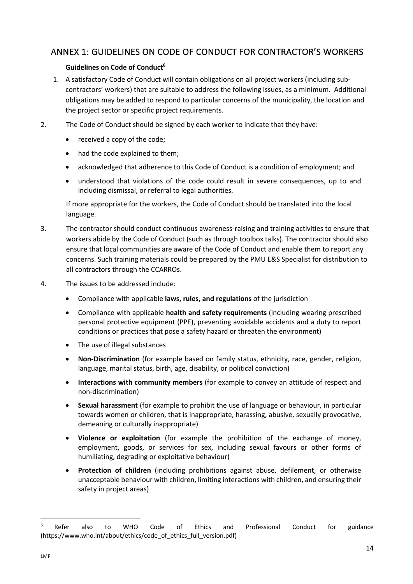## ANNEX 1: GUIDELINES ON CODE OF CONDUCT FOR CONTRACTOR'S WORKERS

#### **Guidelines on Code of Conduct6**

- 1. A satisfactory Code of Conduct will contain obligations on all project workers (including subcontractors' workers) that are suitable to address the following issues, as a minimum. Additional obligations may be added to respond to particular concerns of the municipality, the location and the project sector or specific project requirements.
- 2. The Code of Conduct should be signed by each worker to indicate that they have:
	- received a copy of the code;
	- had the code explained to them;
	- acknowledged that adherence to this Code of Conduct is a condition of employment; and
	- understood that violations of the code could result in severe consequences, up to and including dismissal, or referral to legal authorities.

If more appropriate for the workers, the Code of Conduct should be translated into the local language.

- 3. The contractor should conduct continuous awareness-raising and training activities to ensure that workers abide by the Code of Conduct (such as through toolbox talks). The contractor should also ensure that local communities are aware of the Code of Conduct and enable them to report any concerns. Such training materials could be prepared by the PMU E&S Specialist for distribution to all contractors through the CCARROs.
- 4. The issues to be addressed include:
	- Compliance with applicable **laws, rules, and regulations** of the jurisdiction
	- Compliance with applicable **health and safety requirements** (including wearing prescribed personal protective equipment (PPE), preventing avoidable accidents and a duty to report conditions or practices that pose a safety hazard or threaten the environment)
	- The use of illegal substances
	- **Non-Discrimination** (for example based on family status, ethnicity, race, gender, religion, language, marital status, birth, age, disability, or political conviction)
	- **Interactions with community members** (for example to convey an attitude of respect and non-discrimination)
	- **Sexual harassment** (for example to prohibit the use of language or behaviour, in particular towards women or children, that is inappropriate, harassing, abusive, sexually provocative, demeaning or culturally inappropriate)
	- **Violence or exploitation** (for example the prohibition of the exchange of money, employment, goods, or services for sex, including sexual favours or other forms of humiliating, degrading or exploitative behaviour)
	- **Protection of children** (including prohibitions against abuse, defilement, or otherwise unacceptable behaviour with children, limiting interactions with children, and ensuring their safety in project areas)

<sup>&</sup>lt;sup>6</sup> Refer also to WHO Code of Ethics and Professional Conduct for guidance (https://www.who.int/about/ethics/code\_of\_ethics\_full\_version.pdf)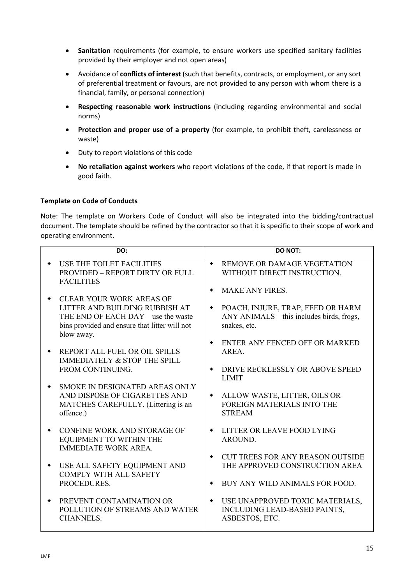- **Sanitation** requirements (for example, to ensure workers use specified sanitary facilities provided by their employer and not open areas)
- Avoidance of **conflicts of interest** (such that benefits, contracts, or employment, or any sort of preferential treatment or favours, are not provided to any person with whom there is a financial, family, or personal connection)
- **Respecting reasonable work instructions** (including regarding environmental and social norms)
- **Protection and proper use of a property** (for example, to prohibit theft, carelessness or waste)
- Duty to report violations of this code
- **No retaliation against workers** who report violations of the code, if that report is made in good faith.

#### **Template on Code of Conducts**

Note: The template on Workers Code of Conduct will also be integrated into the bidding/contractual document. The template should be refined by the contractor so that it is specific to their scope of work and operating environment.

| DO:                                                                                                                                                                     | <b>DO NOT:</b>                                                                                                   |
|-------------------------------------------------------------------------------------------------------------------------------------------------------------------------|------------------------------------------------------------------------------------------------------------------|
| USE THE TOILET FACILITIES<br>PROVIDED - REPORT DIRTY OR FULL<br><b>FACILITIES</b>                                                                                       | REMOVE OR DAMAGE VEGETATION<br>$\bullet$<br>WITHOUT DIRECT INSTRUCTION.<br><b>MAKE ANY FIRES.</b>                |
| <b>CLEAR YOUR WORK AREAS OF</b><br>LITTER AND BUILDING RUBBISH AT<br>THE END OF EACH DAY – use the waste<br>bins provided and ensure that litter will not<br>blow away. | POACH, INJURE, TRAP, FEED OR HARM<br>٠<br>ANY ANIMALS - this includes birds, frogs,<br>snakes, etc.              |
| REPORT ALL FUEL OR OIL SPILLS<br>IMMEDIATELY & STOP THE SPILL<br>FROM CONTINUING.                                                                                       | ENTER ANY FENCED OFF OR MARKED<br>٠<br>AREA.<br>DRIVE RECKLESSLY OR ABOVE SPEED<br>٠                             |
| SMOKE IN DESIGNATED AREAS ONLY<br>AND DISPOSE OF CIGARETTES AND<br>MATCHES CAREFULLY. (Littering is an<br>offence.)                                                     | <b>LIMIT</b><br>ALLOW WASTE, LITTER, OILS OR<br>٠<br>FOREIGN MATERIALS INTO THE<br><b>STREAM</b>                 |
| CONFINE WORK AND STORAGE OF<br>EQUIPMENT TO WITHIN THE<br><b>IMMEDIATE WORK AREA.</b>                                                                                   | LITTER OR LEAVE FOOD LYING<br>AROUND.                                                                            |
| USE ALL SAFETY EQUIPMENT AND<br>٠<br><b>COMPLY WITH ALL SAFETY</b><br>PROCEDURES.                                                                                       | <b>CUT TREES FOR ANY REASON OUTSIDE</b><br>٠<br>THE APPROVED CONSTRUCTION AREA<br>BUY ANY WILD ANIMALS FOR FOOD. |
| PREVENT CONTAMINATION OR<br>POLLUTION OF STREAMS AND WATER<br><b>CHANNELS.</b>                                                                                          | USE UNAPPROVED TOXIC MATERIALS,<br>INCLUDING LEAD-BASED PAINTS,<br>ASBESTOS, ETC.                                |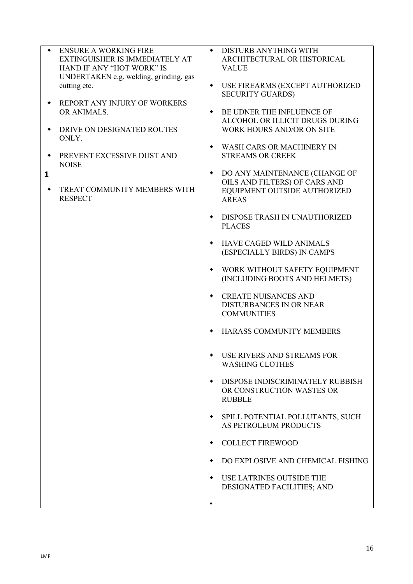|              | <b>ENSURE A WORKING FIRE</b><br>EXTINGUISHER IS IMMEDIATELY AT<br>HAND IF ANY "HOT WORK" IS<br>UNDERTAKEN e.g. welding, grinding, gas<br>cutting etc. | $\bullet$<br>٠ | DISTURB ANYTHING WITH<br>ARCHITECTURAL OR HISTORICAL<br><b>VALUE</b><br>USE FIREARMS (EXCEPT AUTHORIZED                                                                                                              |
|--------------|-------------------------------------------------------------------------------------------------------------------------------------------------------|----------------|----------------------------------------------------------------------------------------------------------------------------------------------------------------------------------------------------------------------|
| $\mathbf{1}$ | REPORT ANY INJURY OF WORKERS<br>OR ANIMALS.<br>DRIVE ON DESIGNATED ROUTES<br>ONLY.<br>PREVENT EXCESSIVE DUST AND<br><b>NOISE</b>                      | ۰<br>۰<br>٠    | <b>SECURITY GUARDS)</b><br>BE UDNER THE INFLUENCE OF<br>ALCOHOL OR ILLICIT DRUGS DURING<br>WORK HOURS AND/OR ON SITE<br><b>WASH CARS OR MACHINERY IN</b><br><b>STREAMS OR CREEK</b><br>DO ANY MAINTENANCE (CHANGE OF |
|              | TREAT COMMUNITY MEMBERS WITH<br><b>RESPECT</b>                                                                                                        |                | OILS AND FILTERS) OF CARS AND<br>EQUIPMENT OUTSIDE AUTHORIZED<br><b>AREAS</b>                                                                                                                                        |
|              |                                                                                                                                                       | ٠              | DISPOSE TRASH IN UNAUTHORIZED<br><b>PLACES</b>                                                                                                                                                                       |
|              |                                                                                                                                                       | ۰              | HAVE CAGED WILD ANIMALS<br>(ESPECIALLY BIRDS) IN CAMPS                                                                                                                                                               |
|              |                                                                                                                                                       | ٠              | WORK WITHOUT SAFETY EQUIPMENT<br>(INCLUDING BOOTS AND HELMETS)                                                                                                                                                       |
|              |                                                                                                                                                       | ٠              | <b>CREATE NUISANCES AND</b><br>DISTURBANCES IN OR NEAR<br><b>COMMUNITIES</b>                                                                                                                                         |
|              |                                                                                                                                                       | ٠              | HARASS COMMUNITY MEMBERS                                                                                                                                                                                             |
|              |                                                                                                                                                       |                | USE RIVERS AND STREAMS FOR<br><b>WASHING CLOTHES</b>                                                                                                                                                                 |
|              |                                                                                                                                                       | ٠              | DISPOSE INDISCRIMINATELY RUBBISH<br>OR CONSTRUCTION WASTES OR<br><b>RUBBLE</b>                                                                                                                                       |
|              |                                                                                                                                                       |                | SPILL POTENTIAL POLLUTANTS, SUCH<br>AS PETROLEUM PRODUCTS                                                                                                                                                            |
|              |                                                                                                                                                       | ٠              | <b>COLLECT FIREWOOD</b>                                                                                                                                                                                              |
|              |                                                                                                                                                       |                | DO EXPLOSIVE AND CHEMICAL FISHING                                                                                                                                                                                    |
|              |                                                                                                                                                       | ٠              | USE LATRINES OUTSIDE THE<br>DESIGNATED FACILITIES; AND                                                                                                                                                               |
|              |                                                                                                                                                       | ٠              |                                                                                                                                                                                                                      |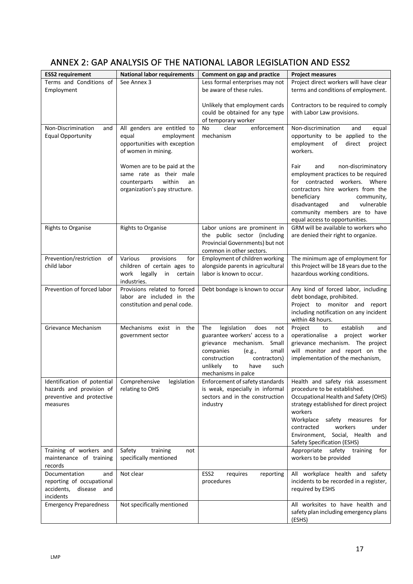# ANNEX 2: GAP ANALYSIS OF THE NATIONAL LABOR LEGISLATION AND ESS2

| <b>ESS2</b> requirement                                                                          | <b>National labor requirements</b>                                                                                      | Comment on gap and practice                                                                                                                                                                                                   | <b>Project measures</b>                                                                                                                                                                                                                                                                                       |  |  |  |  |
|--------------------------------------------------------------------------------------------------|-------------------------------------------------------------------------------------------------------------------------|-------------------------------------------------------------------------------------------------------------------------------------------------------------------------------------------------------------------------------|---------------------------------------------------------------------------------------------------------------------------------------------------------------------------------------------------------------------------------------------------------------------------------------------------------------|--|--|--|--|
| Terms and Conditions of<br>Employment                                                            | See Annex 3                                                                                                             | Less formal enterprises may not<br>be aware of these rules.                                                                                                                                                                   | Project direct workers will have clear<br>terms and conditions of employment.                                                                                                                                                                                                                                 |  |  |  |  |
|                                                                                                  |                                                                                                                         | Unlikely that employment cards<br>could be obtained for any type<br>of temporary worker                                                                                                                                       | Contractors to be required to comply<br>with Labor Law provisions.                                                                                                                                                                                                                                            |  |  |  |  |
| Non-Discrimination<br>and<br><b>Equal Opportunity</b>                                            | All genders are entitled to<br>equal<br>employment<br>opportunities with exception<br>of women in mining.               | enforcement<br>clear<br>No<br>mechanism                                                                                                                                                                                       | Non-discrimination<br>and<br>equal<br>opportunity to be applied to the<br>employment<br>of<br>direct<br>project<br>workers.                                                                                                                                                                                   |  |  |  |  |
|                                                                                                  | Women are to be paid at the<br>same rate as their male<br>within<br>counterparts<br>an<br>organization's pay structure. |                                                                                                                                                                                                                               | Fair<br>non-discriminatory<br>and<br>employment practices to be required<br>for contracted workers. Where<br>contractors hire workers from the<br>beneficiary<br>community,<br>disadvantaged<br>vulnerable<br>and<br>community members are to have<br>equal access to opportunities.                          |  |  |  |  |
| <b>Rights to Organise</b>                                                                        | <b>Rights to Organise</b>                                                                                               | Labor unions are prominent in<br>the public sector (including<br>Provincial Governments) but not<br>common in other sectors.                                                                                                  | GRM will be available to workers who<br>are denied their right to organize.                                                                                                                                                                                                                                   |  |  |  |  |
| Prevention/restriction<br>of<br>child labor                                                      | provisions<br>Various<br>for<br>children of certain ages to<br>legally<br>work<br>in<br>certain<br>industries.          | Employment of children working<br>alongside parents in agricultural<br>labor is known to occur.                                                                                                                               | The minimum age of employment for<br>this Project will be 18 years due to the<br>hazardous working conditions.                                                                                                                                                                                                |  |  |  |  |
| Prevention of forced labor                                                                       | Provisions related to forced<br>labor are included in the<br>constitution and penal code.                               | Debt bondage is known to occur                                                                                                                                                                                                | Any kind of forced labor, including<br>debt bondage, prohibited.<br>Project to monitor and report<br>including notification on any incident<br>within 48 hours.                                                                                                                                               |  |  |  |  |
| Grievance Mechanism                                                                              | Mechanisms exist in the<br>government sector                                                                            | The<br>legislation<br>does<br>not<br>guarantee workers' access to a<br>grievance mechanism.<br>Small<br>small<br>companies<br>(e.g.,<br>construction<br>contractors)<br>unlikely<br>have<br>to<br>such<br>mechanisms in palce | establish<br>Project<br>to<br>and<br>operationalise a project worker<br>grievance mechanism. The project<br>will monitor and report on the<br>implementation of the mechanism,                                                                                                                                |  |  |  |  |
| Identification of potential<br>hazards and provision of<br>preventive and protective<br>measures | Comprehensive<br>legislation<br>relating to OHS                                                                         | Enforcement of safety standards<br>is weak, especially in informal<br>sectors and in the construction<br>industry                                                                                                             | Health and safety risk assessment<br>procedure to be established.<br>Occupational Health and Safety (OHS)<br>strategy established for direct project<br>workers<br>Workplace<br>safety measures<br>for<br>contracted<br>workers<br>under<br>Environment, Social, Health<br>and<br>Safety Specification (ESHS) |  |  |  |  |
| Training of workers and<br>maintenance of training<br>records                                    | Safety<br>training<br>not<br>specifically mentioned                                                                     |                                                                                                                                                                                                                               | safety<br>Appropriate<br>training<br>for<br>workers to be provided                                                                                                                                                                                                                                            |  |  |  |  |
| Documentation<br>and<br>reporting of occupational<br>accidents,<br>disease<br>and<br>incidents   | Not clear                                                                                                               | ESS <sub>2</sub><br>requires<br>reporting<br>procedures                                                                                                                                                                       | All workplace health and safety<br>incidents to be recorded in a register,<br>required by ESHS                                                                                                                                                                                                                |  |  |  |  |
| <b>Emergency Preparedness</b>                                                                    | Not specifically mentioned                                                                                              |                                                                                                                                                                                                                               | All worksites to have health and<br>safety plan including emergency plans<br>(ESHS)                                                                                                                                                                                                                           |  |  |  |  |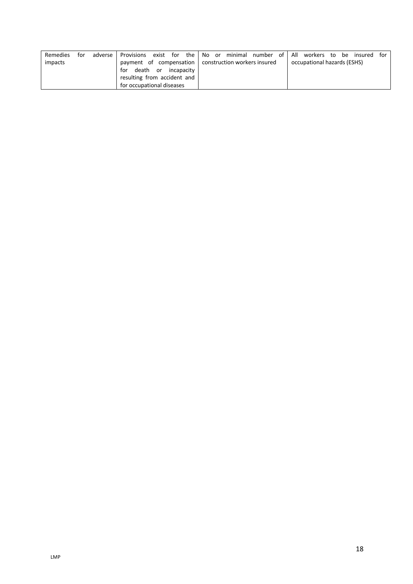| Remedies                    | for | adverse l | Provisions exist for the No or minimal number of All workers to be insured for |  |  |  |  |  |  |  |                             |  |  |
|-----------------------------|-----|-----------|--------------------------------------------------------------------------------|--|--|--|--|--|--|--|-----------------------------|--|--|
| impacts                     |     |           | payment of compensation   construction workers insured                         |  |  |  |  |  |  |  | occupational hazards (ESHS) |  |  |
| death or incapacity<br>for  |     |           |                                                                                |  |  |  |  |  |  |  |                             |  |  |
| resulting from accident and |     |           |                                                                                |  |  |  |  |  |  |  |                             |  |  |
|                             |     |           | for occupational diseases                                                      |  |  |  |  |  |  |  |                             |  |  |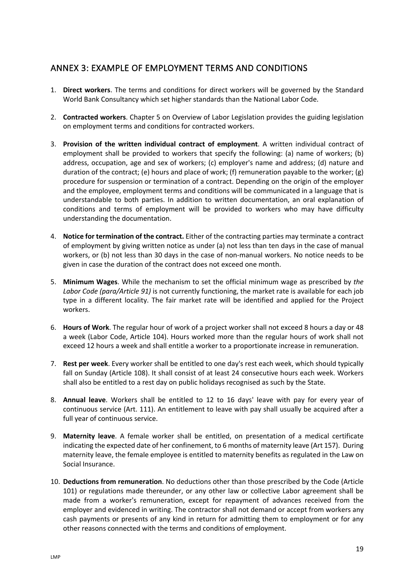## ANNEX 3: EXAMPLE OF EMPLOYMENT TERMS AND CONDITIONS

- 1. **Direct workers**. The terms and conditions for direct workers will be governed by the Standard World Bank Consultancy which set higher standards than the National Labor Code.
- 2. **Contracted workers**. Chapter 5 on Overview of Labor Legislation provides the guiding legislation on employment terms and conditions for contracted workers.
- 3. **Provision of the written individual contract of employment**. A written individual contract of employment shall be provided to workers that specify the following: (a) name of workers; (b) address, occupation, age and sex of workers; (c) employer's name and address; (d) nature and duration of the contract; (e) hours and place of work; (f) remuneration payable to the worker; (g) procedure for suspension or termination of a contract. Depending on the origin of the employer and the employee, employment terms and conditions will be communicated in a language that is understandable to both parties. In addition to written documentation, an oral explanation of conditions and terms of employment will be provided to workers who may have difficulty understanding the documentation.
- 4. **Notice for termination of the contract.** Either of the contracting parties may terminate a contract of employment by giving written notice as under (a) not less than ten days in the case of manual workers, or (b) not less than 30 days in the case of non-manual workers. No notice needs to be given in case the duration of the contract does not exceed one month.
- 5. **Minimum Wages**. While the mechanism to set the official minimum wage as prescribed by *the Labor Code (para/Article 91)* is not currently functioning, the market rate is available for each job type in a different locality. The fair market rate will be identified and applied for the Project workers.
- 6. **Hours of Work**. The regular hour of work of a project worker shall not exceed 8 hours a day or 48 a week (Labor Code, Article 104). Hours worked more than the regular hours of work shall not exceed 12 hours a week and shall entitle a worker to a proportionate increase in remuneration.
- 7. **Rest per week**. Every worker shall be entitled to one day's rest each week, which should typically fall on Sunday (Article 108). It shall consist of at least 24 consecutive hours each week. Workers shall also be entitled to a rest day on public holidays recognised as such by the State.
- 8. **Annual leave**. Workers shall be entitled to 12 to 16 days' leave with pay for every year of continuous service (Art. 111). An entitlement to leave with pay shall usually be acquired after a full year of continuous service.
- 9. **Maternity leave**. A female worker shall be entitled, on presentation of a medical certificate indicating the expected date of her confinement, to 6 months of maternity leave (Art 157). During maternity leave, the female employee is entitled to maternity benefits as regulated in the Law on Social Insurance.
- 10. **Deductions from remuneration**. No deductions other than those prescribed by the Code (Article 101) or regulations made thereunder, or any other law or collective Labor agreement shall be made from a worker's remuneration, except for repayment of advances received from the employer and evidenced in writing. The contractor shall not demand or accept from workers any cash payments or presents of any kind in return for admitting them to employment or for any other reasons connected with the terms and conditions of employment.